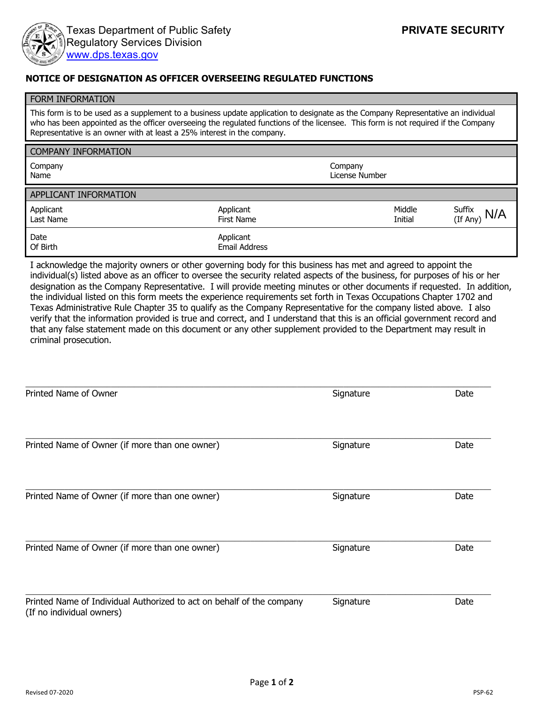

## **NOTICE OF DESIGNATION AS OFFICER OVERSEEING REGULATED FUNCTIONS**

| <b>FORM INFORMATION</b>                                                                                                                                                                                                                                                                                                                            |                                   |                           |                   |                    |  |
|----------------------------------------------------------------------------------------------------------------------------------------------------------------------------------------------------------------------------------------------------------------------------------------------------------------------------------------------------|-----------------------------------|---------------------------|-------------------|--------------------|--|
| This form is to be used as a supplement to a business update application to designate as the Company Representative an individual<br>who has been appointed as the officer overseeing the regulated functions of the licensee. This form is not required if the Company<br>Representative is an owner with at least a 25% interest in the company. |                                   |                           |                   |                    |  |
| <b>COMPANY INFORMATION</b>                                                                                                                                                                                                                                                                                                                         |                                   |                           |                   |                    |  |
| Company<br>Name                                                                                                                                                                                                                                                                                                                                    |                                   | Company<br>License Number |                   |                    |  |
| APPLICANT INFORMATION                                                                                                                                                                                                                                                                                                                              |                                   |                           |                   |                    |  |
| Applicant<br>Last Name                                                                                                                                                                                                                                                                                                                             | Applicant<br>First Name           |                           | Middle<br>Initial | Suffix<br>(If Any) |  |
| Date<br>Of Birth                                                                                                                                                                                                                                                                                                                                   | Applicant<br><b>Email Address</b> |                           |                   |                    |  |

I acknowledge the majority owners or other governing body for this business has met and agreed to appoint the individual(s) listed above as an officer to oversee the security related aspects of the business, for purposes of his or her designation as the Company Representative. I will provide meeting minutes or other documents if requested. In addition, the individual listed on this form meets the experience requirements set forth in Texas Occupations Chapter 1702 and Texas Administrative Rule Chapter 35 to qualify as the Company Representative for the company listed above. I also verify that the information provided is true and correct, and I understand that this is an official government record and that any false statement made on this document or any other supplement provided to the Department may result in criminal prosecution.

| Printed Name of Owner                                                                              | Signature | Date |
|----------------------------------------------------------------------------------------------------|-----------|------|
|                                                                                                    |           |      |
| Printed Name of Owner (if more than one owner)                                                     | Signature | Date |
|                                                                                                    |           |      |
| Printed Name of Owner (if more than one owner)                                                     | Signature | Date |
|                                                                                                    |           |      |
| Printed Name of Owner (if more than one owner)                                                     | Signature | Date |
|                                                                                                    |           |      |
| Printed Name of Individual Authorized to act on behalf of the company<br>(If no individual owners) | Signature | Date |